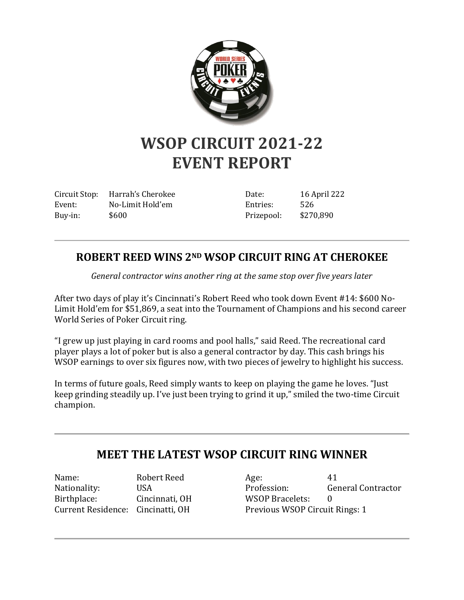

## **WSOP CIRCUIT 2021-22 EVENT REPORT**

Circuit Stop: Harrah's Cherokee Event: No-Limit Hold'em Buy-in: \$600

Date: 16 April 222 Entries: 526 Prizepool: \$270,890

## **ROBERT REED WINS 2ND WSOP CIRCUIT RING AT CHEROKEE**

*General contractor wins another ring at the same stop over five years later*

After two days of play it's Cincinnati's Robert Reed who took down Event #14: \$600 No-Limit Hold'em for \$51,869, a seat into the Tournament of Champions and his second career World Series of Poker Circuit ring.

"I grew up just playing in card rooms and pool halls," said Reed. The recreational card player plays a lot of poker but is also a general contractor by day. This cash brings his WSOP earnings to over six figures now, with two pieces of jewelry to highlight his success.

In terms of future goals, Reed simply wants to keep on playing the game he loves. "Just keep grinding steadily up. I've just been trying to grind it up," smiled the two-time Circuit champion.

## **MEET THE LATEST WSOP CIRCUIT RING WINNER**

Name: Robert Reed Nationality: USA Birthplace: Cincinnati, OH Current Residence: Cincinatti, OH

Age: 41 Profession: General Contractor WSOP Bracelets: 0 Previous WSOP Circuit Rings: 1